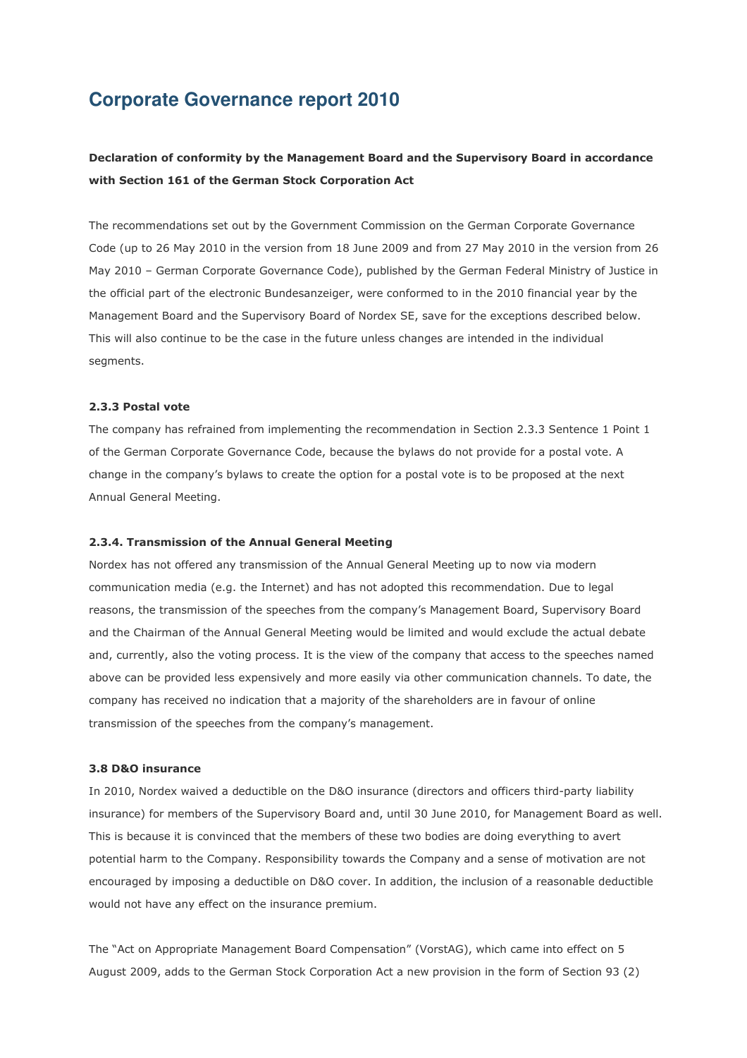# **Corporate Governance report 2010**

# **Declaration of conformity by the Management Board and the Supervisory Board in accordance with Section 161 of the German Stock Corporation Act**

The recommendations set out by the Government Commission on the German Corporate Governance Code (up to 26 May 2010 in the version from 18 June 2009 and from 27 May 2010 in the version from 26 May 2010 – German Corporate Governance Code), published by the German Federal Ministry of Justice in the official part of the electronic Bundesanzeiger, were conformed to in the 2010 financial year by the Management Board and the Supervisory Board of Nordex SE, save for the exceptions described below. This will also continue to be the case in the future unless changes are intended in the individual segments.

# **2.3.3 Postal vote**

The company has refrained from implementing the recommendation in Section 2.3.3 Sentence 1 Point 1 of the German Corporate Governance Code, because the bylaws do not provide for a postal vote. A change in the company's bylaws to create the option for a postal vote is to be proposed at the next Annual General Meeting.

### **2.3.4. Transmission of the Annual General Meeting**

Nordex has not offered any transmission of the Annual General Meeting up to now via modern communication media (e.g. the Internet) and has not adopted this recommendation. Due to legal reasons, the transmission of the speeches from the company's Management Board, Supervisory Board and the Chairman of the Annual General Meeting would be limited and would exclude the actual debate and, currently, also the voting process. It is the view of the company that access to the speeches named above can be provided less expensively and more easily via other communication channels. To date, the company has received no indication that a majority of the shareholders are in favour of online transmission of the speeches from the company's management.

## **3.8 D&O insurance**

In 2010, Nordex waived a deductible on the D&O insurance (directors and officers third-party liability insurance) for members of the Supervisory Board and, until 30 June 2010, for Management Board as well. This is because it is convinced that the members of these two bodies are doing everything to avert potential harm to the Company. Responsibility towards the Company and a sense of motivation are not encouraged by imposing a deductible on D&O cover. In addition, the inclusion of a reasonable deductible would not have any effect on the insurance premium.

The "Act on Appropriate Management Board Compensation" (VorstAG), which came into effect on 5 August 2009, adds to the German Stock Corporation Act a new provision in the form of Section 93 (2)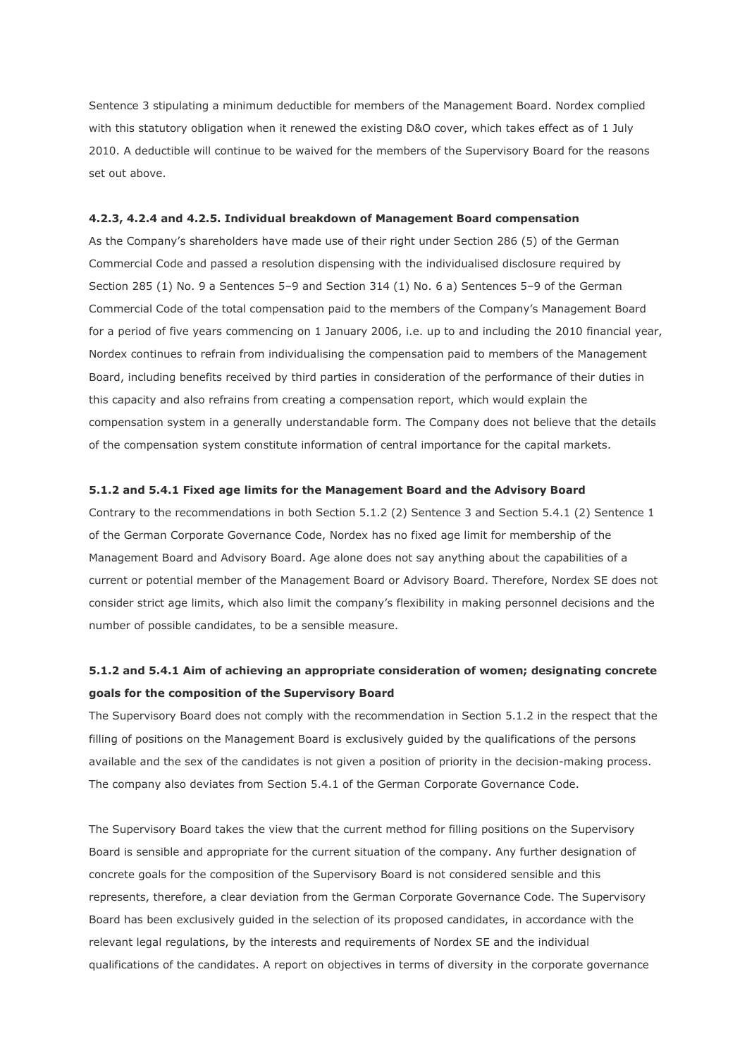Sentence 3 stipulating a minimum deductible for members of the Management Board. Nordex complied with this statutory obligation when it renewed the existing D&O cover, which takes effect as of 1 July 2010. A deductible will continue to be waived for the members of the Supervisory Board for the reasons set out above.

#### **4.2.3, 4.2.4 and 4.2.5. Individual breakdown of Management Board compensation**

As the Company's shareholders have made use of their right under Section 286 (5) of the German Commercial Code and passed a resolution dispensing with the individualised disclosure required by Section 285 (1) No. 9 a Sentences 5–9 and Section 314 (1) No. 6 a) Sentences 5–9 of the German Commercial Code of the total compensation paid to the members of the Company's Management Board for a period of five years commencing on 1 January 2006, i.e. up to and including the 2010 financial year, Nordex continues to refrain from individualising the compensation paid to members of the Management Board, including benefits received by third parties in consideration of the performance of their duties in this capacity and also refrains from creating a compensation report, which would explain the compensation system in a generally understandable form. The Company does not believe that the details of the compensation system constitute information of central importance for the capital markets.

#### **5.1.2 and 5.4.1 Fixed age limits for the Management Board and the Advisory Board**

Contrary to the recommendations in both Section 5.1.2 (2) Sentence 3 and Section 5.4.1 (2) Sentence 1 of the German Corporate Governance Code, Nordex has no fixed age limit for membership of the Management Board and Advisory Board. Age alone does not say anything about the capabilities of a current or potential member of the Management Board or Advisory Board. Therefore, Nordex SE does not consider strict age limits, which also limit the company's flexibility in making personnel decisions and the number of possible candidates, to be a sensible measure.

# **5.1.2 and 5.4.1 Aim of achieving an appropriate consideration of women; designating concrete goals for the composition of the Supervisory Board**

The Supervisory Board does not comply with the recommendation in Section 5.1.2 in the respect that the filling of positions on the Management Board is exclusively guided by the qualifications of the persons available and the sex of the candidates is not given a position of priority in the decision-making process. The company also deviates from Section 5.4.1 of the German Corporate Governance Code.

The Supervisory Board takes the view that the current method for filling positions on the Supervisory Board is sensible and appropriate for the current situation of the company. Any further designation of concrete goals for the composition of the Supervisory Board is not considered sensible and this represents, therefore, a clear deviation from the German Corporate Governance Code. The Supervisory Board has been exclusively guided in the selection of its proposed candidates, in accordance with the relevant legal regulations, by the interests and requirements of Nordex SE and the individual qualifications of the candidates. A report on objectives in terms of diversity in the corporate governance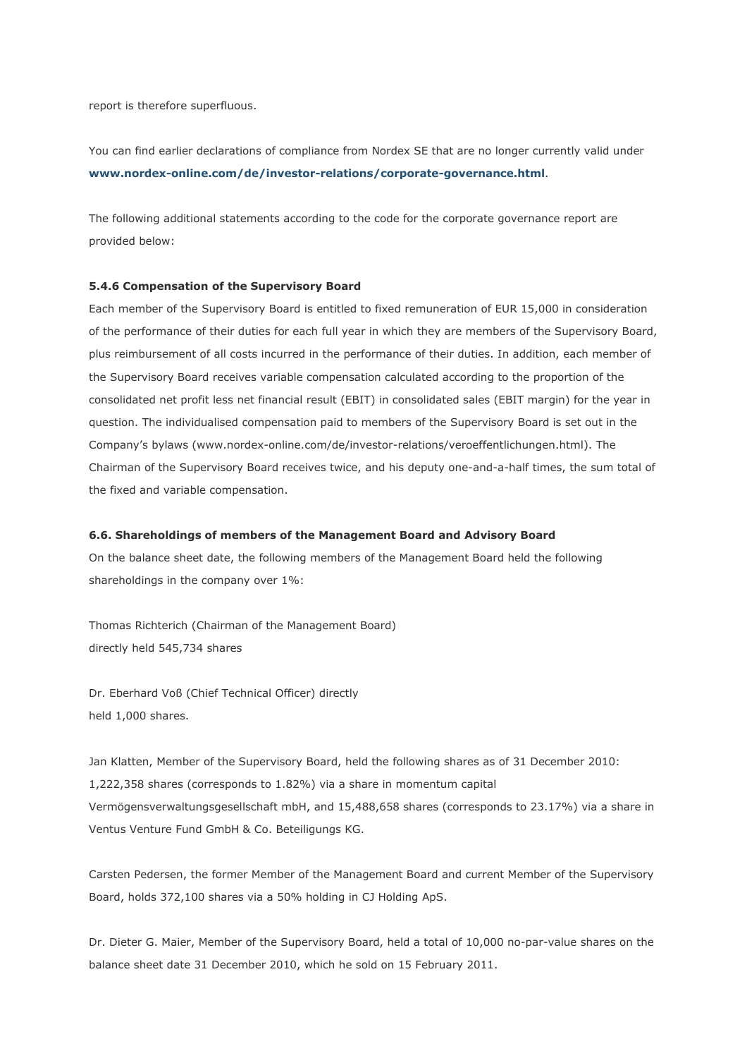report is therefore superfluous.

You can find earlier declarations of compliance from Nordex SE that are no longer currently valid under **www.nordex-online.com/de/investor-relations/corporate-governance.html**.

The following additional statements according to the code for the corporate governance report are provided below:

### **5.4.6 Compensation of the Supervisory Board**

Each member of the Supervisory Board is entitled to fixed remuneration of EUR 15,000 in consideration of the performance of their duties for each full year in which they are members of the Supervisory Board, plus reimbursement of all costs incurred in the performance of their duties. In addition, each member of the Supervisory Board receives variable compensation calculated according to the proportion of the consolidated net profit less net financial result (EBIT) in consolidated sales (EBIT margin) for the year in question. The individualised compensation paid to members of the Supervisory Board is set out in the Company's bylaws (www.nordex-online.com/de/investor-relations/veroeffentlichungen.html). The Chairman of the Supervisory Board receives twice, and his deputy one-and-a-half times, the sum total of the fixed and variable compensation.

#### **6.6. Shareholdings of members of the Management Board and Advisory Board**

On the balance sheet date, the following members of the Management Board held the following shareholdings in the company over 1%:

Thomas Richterich (Chairman of the Management Board) directly held 545,734 shares

Dr. Eberhard Voß (Chief Technical Officer) directly held 1,000 shares.

Jan Klatten, Member of the Supervisory Board, held the following shares as of 31 December 2010: 1,222,358 shares (corresponds to 1.82%) via a share in momentum capital Vermögensverwaltungsgesellschaft mbH, and 15,488,658 shares (corresponds to 23.17%) via a share in Ventus Venture Fund GmbH & Co. Beteiligungs KG.

Carsten Pedersen, the former Member of the Management Board and current Member of the Supervisory Board, holds 372,100 shares via a 50% holding in CJ Holding ApS.

Dr. Dieter G. Maier, Member of the Supervisory Board, held a total of 10,000 no-par-value shares on the balance sheet date 31 December 2010, which he sold on 15 February 2011.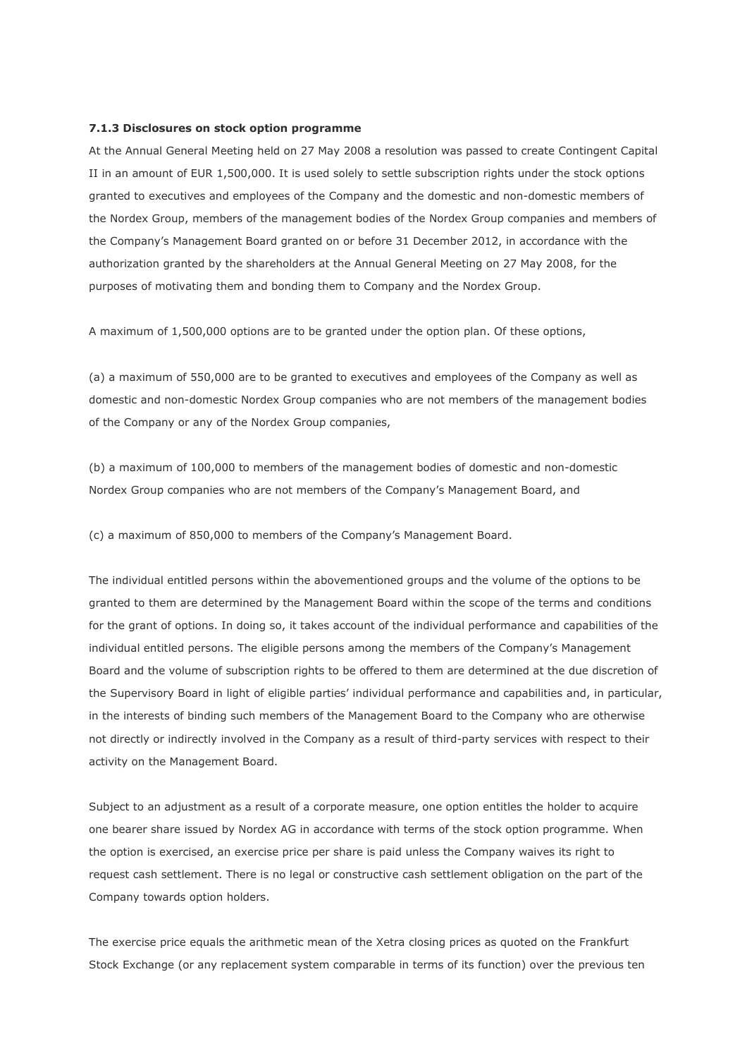#### **7.1.3 Disclosures on stock option programme**

At the Annual General Meeting held on 27 May 2008 a resolution was passed to create Contingent Capital II in an amount of EUR 1,500,000. It is used solely to settle subscription rights under the stock options granted to executives and employees of the Company and the domestic and non-domestic members of the Nordex Group, members of the management bodies of the Nordex Group companies and members of the Company's Management Board granted on or before 31 December 2012, in accordance with the authorization granted by the shareholders at the Annual General Meeting on 27 May 2008, for the purposes of motivating them and bonding them to Company and the Nordex Group.

A maximum of 1,500,000 options are to be granted under the option plan. Of these options,

(a) a maximum of 550,000 are to be granted to executives and employees of the Company as well as domestic and non-domestic Nordex Group companies who are not members of the management bodies of the Company or any of the Nordex Group companies,

(b) a maximum of 100,000 to members of the management bodies of domestic and non-domestic Nordex Group companies who are not members of the Company's Management Board, and

(c) a maximum of 850,000 to members of the Company's Management Board.

The individual entitled persons within the abovementioned groups and the volume of the options to be granted to them are determined by the Management Board within the scope of the terms and conditions for the grant of options. In doing so, it takes account of the individual performance and capabilities of the individual entitled persons. The eligible persons among the members of the Company's Management Board and the volume of subscription rights to be offered to them are determined at the due discretion of the Supervisory Board in light of eligible parties' individual performance and capabilities and, in particular, in the interests of binding such members of the Management Board to the Company who are otherwise not directly or indirectly involved in the Company as a result of third-party services with respect to their activity on the Management Board.

Subject to an adjustment as a result of a corporate measure, one option entitles the holder to acquire one bearer share issued by Nordex AG in accordance with terms of the stock option programme. When the option is exercised, an exercise price per share is paid unless the Company waives its right to request cash settlement. There is no legal or constructive cash settlement obligation on the part of the Company towards option holders.

The exercise price equals the arithmetic mean of the Xetra closing prices as quoted on the Frankfurt Stock Exchange (or any replacement system comparable in terms of its function) over the previous ten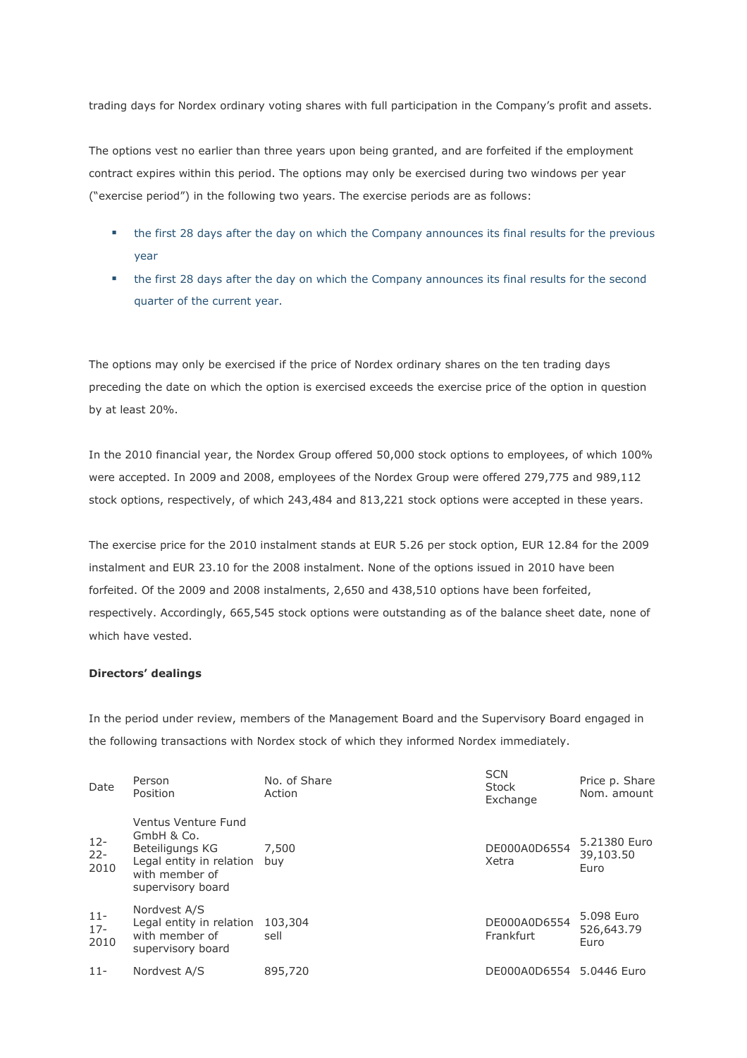trading days for Nordex ordinary voting shares with full participation in the Company's profit and assets.

The options vest no earlier than three years upon being granted, and are forfeited if the employment contract expires within this period. The options may only be exercised during two windows per year ("exercise period") in the following two years. The exercise periods are as follows:

- the first 28 days after the day on which the Company announces its final results for the previous year
- the first 28 days after the day on which the Company announces its final results for the second quarter of the current year.

The options may only be exercised if the price of Nordex ordinary shares on the ten trading days preceding the date on which the option is exercised exceeds the exercise price of the option in question by at least 20%.

In the 2010 financial year, the Nordex Group offered 50,000 stock options to employees, of which 100% were accepted. In 2009 and 2008, employees of the Nordex Group were offered 279,775 and 989,112 stock options, respectively, of which 243,484 and 813,221 stock options were accepted in these years.

The exercise price for the 2010 instalment stands at EUR 5.26 per stock option, EUR 12.84 for the 2009 instalment and EUR 23.10 for the 2008 instalment. None of the options issued in 2010 have been forfeited. Of the 2009 and 2008 instalments, 2,650 and 438,510 options have been forfeited, respectively. Accordingly, 665,545 stock options were outstanding as of the balance sheet date, none of which have vested.

# **Directors' dealings**

In the period under review, members of the Management Board and the Supervisory Board engaged in the following transactions with Nordex stock of which they informed Nordex immediately.

 $\sim$ 

| Date                     | Person<br>Position                                                                                                      | No. of Share<br>Action | <b>SUN</b><br><b>Stock</b><br>Exchange | Price p. Share<br>Nom. amount     |
|--------------------------|-------------------------------------------------------------------------------------------------------------------------|------------------------|----------------------------------------|-----------------------------------|
| $12 -$<br>$22 -$<br>2010 | Ventus Venture Fund<br>GmbH & Co.<br>Beteiligungs KG<br>Legal entity in relation<br>with member of<br>supervisory board | 7,500<br>buv           | DE000A0D6554<br>Xetra                  | 5.21380 Euro<br>39,103.50<br>Euro |
| $11 -$<br>$17 -$<br>2010 | Nordvest A/S<br>Legal entity in relation<br>with member of<br>supervisory board                                         | 103,304<br>sell        | DE000A0D6554<br>Frankfurt              | 5.098 Euro<br>526,643.79<br>Euro  |
| $11 -$                   | Nordvest A/S                                                                                                            | 895,720                | DE000A0D6554 5.0446 Euro               |                                   |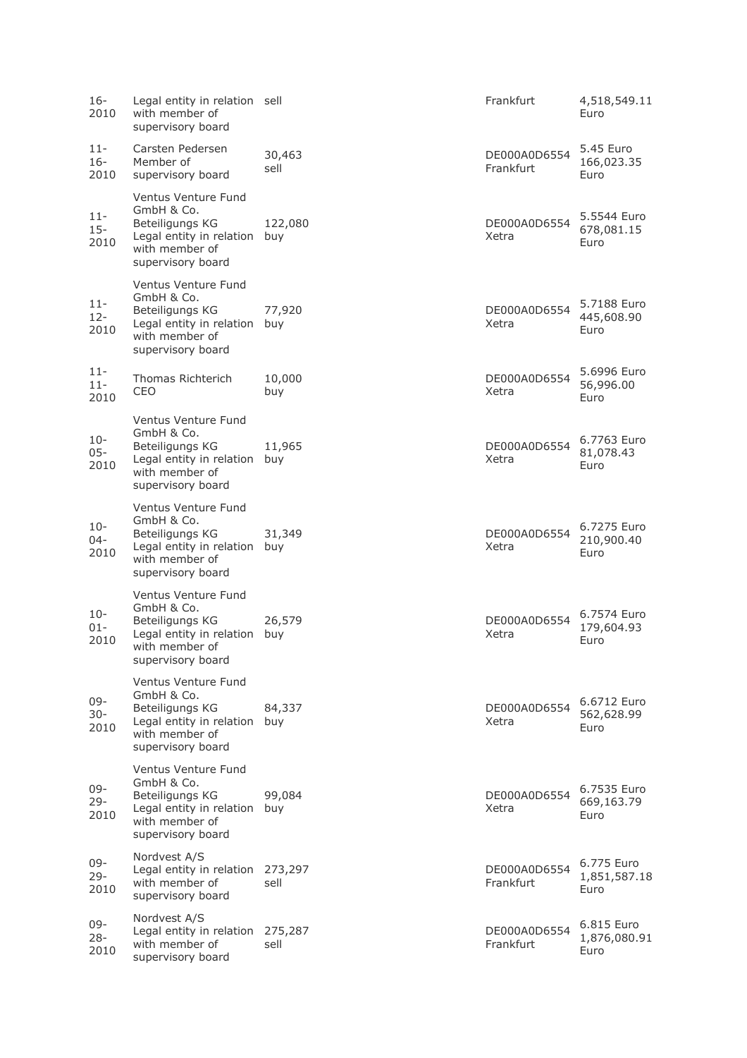| 16-<br>2010              | Legal entity in relation sell<br>with member of<br>supervisory board                                                        |                 | Frankfurt                 | 4,518,549.11<br>Euro               |
|--------------------------|-----------------------------------------------------------------------------------------------------------------------------|-----------------|---------------------------|------------------------------------|
| $11 -$<br>$16 -$<br>2010 | Carsten Pedersen<br>Member of<br>supervisory board                                                                          | 30,463<br>sell  | DE000A0D6554<br>Frankfurt | 5.45 Euro<br>166,023.35<br>Euro    |
| $11 -$<br>$15 -$<br>2010 | Ventus Venture Fund<br>GmbH & Co.<br>Beteiligungs KG<br>Legal entity in relation<br>with member of<br>supervisory board     | 122,080<br>buy  | DE000A0D6554<br>Xetra     | 5.5544 Euro<br>678,081.15<br>Euro  |
| $11 -$<br>$12 -$<br>2010 | Ventus Venture Fund<br>GmbH & Co.<br>Beteiligungs KG<br>Legal entity in relation buy<br>with member of<br>supervisory board | 77,920          | DE000A0D6554<br>Xetra     | 5.7188 Euro<br>445,608.90<br>Euro  |
| $11 -$<br>$11 -$<br>2010 | Thomas Richterich<br>CEO                                                                                                    | 10,000<br>buy   | DE000A0D6554<br>Xetra     | 5.6996 Euro<br>56,996.00<br>Euro   |
| $10 -$<br>$05 -$<br>2010 | Ventus Venture Fund<br>GmbH & Co.<br>Beteiligungs KG<br>Legal entity in relation<br>with member of<br>supervisory board     | 11,965<br>buy   | DE000A0D6554<br>Xetra     | 6.7763 Euro<br>81,078.43<br>Euro   |
| 10-<br>04-<br>2010       | Ventus Venture Fund<br>GmbH & Co.<br>Beteiligungs KG<br>Legal entity in relation<br>with member of<br>supervisory board     | 31,349<br>buy   | DE000A0D6554<br>Xetra     | 6.7275 Euro<br>210,900.40<br>Euro  |
| $10-$<br>$01 -$<br>2010  | Ventus Venture Fund<br>GmbH & Co.<br>Beteiligungs KG<br>Legal entity in relation<br>with member of<br>supervisory board     | 26,579<br>buy   | DE000A0D6554<br>Xetra     | 6.7574 Euro<br>179,604.93<br>Euro  |
| $09 -$<br>$30 -$<br>2010 | Ventus Venture Fund<br>GmbH & Co.<br>Beteiligungs KG<br>Legal entity in relation<br>with member of<br>supervisory board     | 84,337<br>buy   | DE000A0D6554<br>Xetra     | 6.6712 Euro<br>562,628.99<br>Euro  |
| $09 -$<br>$29 -$<br>2010 | Ventus Venture Fund<br>GmbH & Co.<br>Beteiligungs KG<br>Legal entity in relation<br>with member of<br>supervisory board     | 99,084<br>buy   | DE000A0D6554<br>Xetra     | 6.7535 Euro<br>669,163.79<br>Euro  |
| $09 -$<br>$29 -$<br>2010 | Nordvest A/S<br>Legal entity in relation<br>with member of<br>supervisory board                                             | 273,297<br>sell | DE000A0D6554<br>Frankfurt | 6.775 Euro<br>1,851,587.18<br>Euro |
| 09-<br>$28 -$<br>2010    | Nordvest A/S<br>Legal entity in relation<br>with member of<br>supervisory board                                             | 275,287<br>sell | DE000A0D6554<br>Frankfurt | 6.815 Euro<br>1,876,080.91<br>Euro |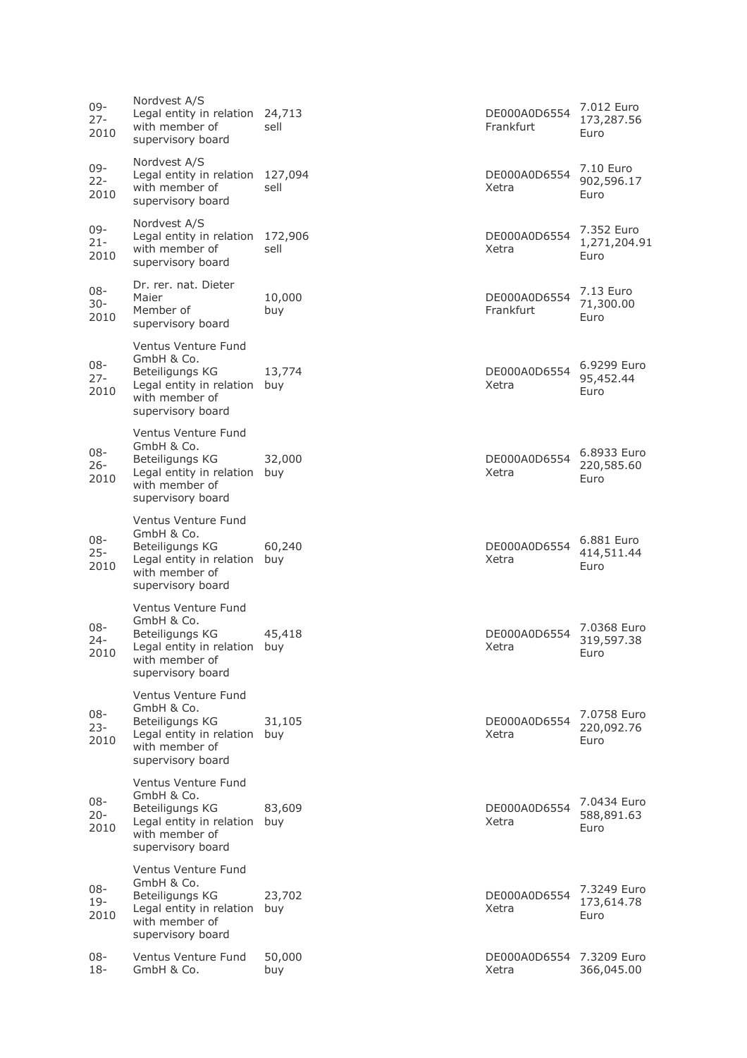| 09-<br>$27 -$<br>2010    | Nordvest A/S<br>Legal entity in relation<br>with member of<br>supervisory board                                             | 24,713<br>sell  | DE000A0D6554<br>Frankfurt         | 7.012 Euro<br>173,287.56<br>Euro   |
|--------------------------|-----------------------------------------------------------------------------------------------------------------------------|-----------------|-----------------------------------|------------------------------------|
| 09-<br>$22 -$<br>2010    | Nordvest A/S<br>Legal entity in relation<br>with member of<br>supervisory board                                             | 127,094<br>sell | DE000A0D6554<br>Xetra             | 7.10 Euro<br>902,596.17<br>Euro    |
| 09-<br>$21 -$<br>2010    | Nordvest A/S<br>Legal entity in relation<br>with member of<br>supervisory board                                             | 172,906<br>sell | DE000A0D6554<br>Xetra             | 7.352 Euro<br>1,271,204.91<br>Euro |
| 08-<br>$30 -$<br>2010    | Dr. rer. nat. Dieter<br>Maier<br>Member of<br>supervisory board                                                             | 10,000<br>buy   | DE000A0D6554<br>Frankfurt         | 7.13 Euro<br>71,300.00<br>Euro     |
| $08 -$<br>$27 -$<br>2010 | Ventus Venture Fund<br>GmbH & Co.<br>Beteiligungs KG<br>Legal entity in relation<br>with member of<br>supervisory board     | 13,774<br>buy   | DE000A0D6554<br>Xetra             | 6.9299 Euro<br>95,452.44<br>Euro   |
| 08-<br>$26 -$<br>2010    | Ventus Venture Fund<br>GmbH & Co.<br>Beteiligungs KG<br>Legal entity in relation<br>with member of<br>supervisory board     | 32,000<br>buy   | DE000A0D6554<br>Xetra             | 6.8933 Euro<br>220,585.60<br>Euro  |
| 08-<br>$25 -$<br>2010    | Ventus Venture Fund<br>GmbH & Co.<br>Beteiligungs KG<br>Legal entity in relation<br>with member of<br>supervisory board     | 60,240<br>buy   | DE000A0D6554<br>Xetra             | 6.881 Euro<br>414,511.44<br>Euro   |
| $08 -$<br>$24 -$<br>2010 | Ventus Venture Fund<br>GmbH & Co.<br>Beteiligungs KG<br>Legal entity in relation<br>with member of<br>supervisory board     | 45,418<br>buy   | DE000A0D6554<br>Xetra             | 7.0368 Euro<br>319,597.38<br>Euro  |
| 08-<br>$23 -$<br>2010    | Ventus Venture Fund<br>GmbH & Co.<br>Beteiligungs KG<br>Legal entity in relation<br>with member of<br>supervisory board     | 31,105<br>buy   | DE000A0D6554<br>Xetra             | 7.0758 Euro<br>220,092.76<br>Euro  |
| 08-<br>$20 -$<br>2010    | Ventus Venture Fund<br>GmbH & Co.<br>Beteiligungs KG<br>Legal entity in relation buy<br>with member of<br>supervisory board | 83,609          | DE000A0D6554<br>Xetra             | 7.0434 Euro<br>588,891.63<br>Euro  |
| 08-<br>$19 -$<br>2010    | Ventus Venture Fund<br>GmbH & Co.<br>Beteiligungs KG<br>Legal entity in relation buy<br>with member of<br>supervisory board | 23,702          | DE000A0D6554<br>Xetra             | 7.3249 Euro<br>173,614.78<br>Euro  |
| 08-<br>18-               | Ventus Venture Fund<br>GmbH & Co.                                                                                           | 50,000<br>buy   | DE000A0D6554 7.3209 Euro<br>Xetra | 366,045.00                         |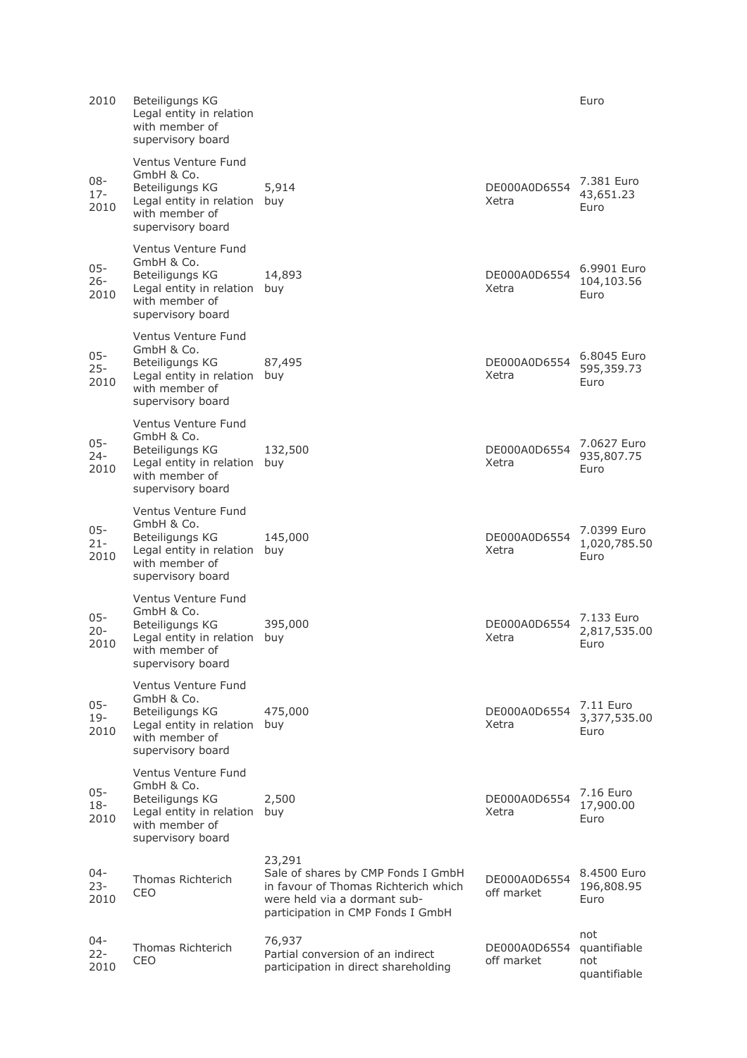| 2010                     | Beteiligungs KG<br>Legal entity in relation<br>with member of<br>supervisory board                                          |                                                                                                                                                           |                            | Euro                                       |
|--------------------------|-----------------------------------------------------------------------------------------------------------------------------|-----------------------------------------------------------------------------------------------------------------------------------------------------------|----------------------------|--------------------------------------------|
| 08-<br>$17 -$<br>2010    | Ventus Venture Fund<br>GmbH & Co.<br>Beteiligungs KG<br>Legal entity in relation<br>with member of<br>supervisory board     | 5,914<br>buy                                                                                                                                              | DE000A0D6554<br>Xetra      | 7.381 Euro<br>43,651.23<br>Euro            |
| 05-<br>$26 -$<br>2010    | Ventus Venture Fund<br>GmbH & Co.<br>Beteiligungs KG<br>Legal entity in relation<br>with member of<br>supervisory board     | 14,893<br>buy                                                                                                                                             | DE000A0D6554<br>Xetra      | 6.9901 Euro<br>104,103.56<br>Euro          |
| 05-<br>$25 -$<br>2010    | Ventus Venture Fund<br>GmbH & Co.<br>Beteiligungs KG<br>Legal entity in relation<br>with member of<br>supervisory board     | 87,495<br>buy                                                                                                                                             | DE000A0D6554<br>Xetra      | 6.8045 Euro<br>595,359.73<br>Euro          |
| $05 -$<br>$24 -$<br>2010 | Ventus Venture Fund<br>GmbH & Co.<br>Beteiligungs KG<br>Legal entity in relation buy<br>with member of<br>supervisory board | 132,500                                                                                                                                                   | DE000A0D6554<br>Xetra      | 7.0627 Euro<br>935,807.75<br>Euro          |
| $05 -$<br>$21 -$<br>2010 | Ventus Venture Fund<br>GmbH & Co.<br>Beteiligungs KG<br>Legal entity in relation<br>with member of<br>supervisory board     | 145,000<br>buy                                                                                                                                            | DE000A0D6554<br>Xetra      | 7.0399 Euro<br>1,020,785.50<br>Euro        |
| $05 -$<br>$20 -$<br>2010 | Ventus Venture Fund<br>GmbH & Co.<br>Beteiligungs KG<br>Legal entity in relation<br>with member of<br>supervisory board     | 395,000<br>buy                                                                                                                                            | DE000A0D6554<br>Xetra      | 7.133 Euro<br>2,817,535.00<br>Euro         |
| $05 -$<br>$19 -$<br>2010 | Ventus Venture Fund<br>GmbH & Co.<br>Beteiligungs KG<br>Legal entity in relation<br>with member of<br>supervisory board     | 475,000<br>buy                                                                                                                                            | DE000A0D6554<br>Xetra      | 7.11 Euro<br>3,377,535.00<br>Euro          |
| $05 -$<br>$18 -$<br>2010 | Ventus Venture Fund<br>GmbH & Co.<br>Beteiligungs KG<br>Legal entity in relation<br>with member of<br>supervisory board     | 2,500<br>buy                                                                                                                                              | DE000A0D6554<br>Xetra      | 7.16 Euro<br>17,900.00<br>Euro             |
| 04-<br>$23 -$<br>2010    | Thomas Richterich<br>CEO                                                                                                    | 23,291<br>Sale of shares by CMP Fonds I GmbH<br>in favour of Thomas Richterich which<br>were held via a dormant sub-<br>participation in CMP Fonds I GmbH | DE000A0D6554<br>off market | 8.4500 Euro<br>196,808.95<br>Euro          |
| 04-<br>$22 -$<br>2010    | <b>Thomas Richterich</b><br>CEO                                                                                             | 76,937<br>Partial conversion of an indirect<br>participation in direct shareholding                                                                       | DE000A0D6554<br>off market | not<br>quantifiable<br>not<br>quantifiable |